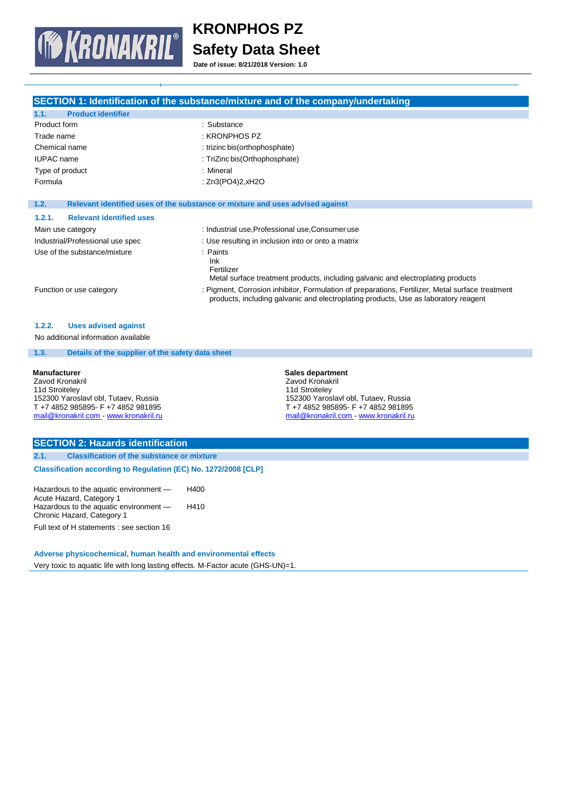

**Date of issue: 8/21/2018 Version: 1.0**

|                                                                                                                                      | SECTION 1: Identification of the substance/mixture and of the company/undertaking                                                                                                       |  |  |
|--------------------------------------------------------------------------------------------------------------------------------------|-----------------------------------------------------------------------------------------------------------------------------------------------------------------------------------------|--|--|
| <b>Product identifier</b><br>1.1.                                                                                                    |                                                                                                                                                                                         |  |  |
| Product form                                                                                                                         | : Substance                                                                                                                                                                             |  |  |
| Trade name                                                                                                                           | : KRONPHOS PZ                                                                                                                                                                           |  |  |
| Chemical name                                                                                                                        | : trizinc bis(orthophosphate)                                                                                                                                                           |  |  |
| <b>IUPAC</b> name                                                                                                                    | : TriZinc bis(Orthophosphate)                                                                                                                                                           |  |  |
| Type of product                                                                                                                      | : Mineral                                                                                                                                                                               |  |  |
| Formula                                                                                                                              | : Zn3(PO4)2, xH2O                                                                                                                                                                       |  |  |
| 1.2.                                                                                                                                 | Relevant identified uses of the substance or mixture and uses advised against                                                                                                           |  |  |
| 1.2.1.<br><b>Relevant identified uses</b>                                                                                            |                                                                                                                                                                                         |  |  |
| Main use category                                                                                                                    | : Industrial use, Professional use, Consumer use                                                                                                                                        |  |  |
| Industrial/Professional use spec                                                                                                     | : Use resulting in inclusion into or onto a matrix                                                                                                                                      |  |  |
| Use of the substance/mixture                                                                                                         | $:$ Paints<br>Ink<br>Fertilizer<br>Metal surface treatment products, including galvanic and electroplating products                                                                     |  |  |
| Function or use category                                                                                                             | : Pigment, Corrosion inhibitor, Formulation of preparations, Fertilizer, Metal surface treatment<br>products, including galvanic and electroplating products, Use as laboratory reagent |  |  |
| 1.2.2.<br><b>Uses advised against</b>                                                                                                |                                                                                                                                                                                         |  |  |
| No additional information available                                                                                                  |                                                                                                                                                                                         |  |  |
| 1.3.<br>Details of the supplier of the safety data sheet                                                                             |                                                                                                                                                                                         |  |  |
| <b>Manufacturer</b><br>Zavod Kronakril<br>11d Stroiteley<br>152300 Yaroslavl obl, Tutaev, Russia<br>T+7 4852 985895- F+7 4852 981895 | <b>Sales department</b><br>Zavod Kronakril<br>11d Stroiteley<br>152300 Yaroslavl obl, Tutaev, Russia<br>T+74852985895-F+74852981895                                                     |  |  |
| mail@kronakril.com - www.kronakril.ru                                                                                                | mail@kronakril.com - www.kronakril.ru                                                                                                                                                   |  |  |

# **SECTION 2: Hazards identification**

**2.1. Classification of the substance or mixture Classification according to Regulation (EC) No. 1272/2008 [CLP]**

Hazardous to the aquatic environment — Acute Hazard, Category 1 Hazardous to the aquatic environment — Chronic Hazard, Category 1 H400 H410

Full text of H statements : see section 16

**Adverse physicochemical, human health and environmental effects**

Very toxic to aquatic life with long lasting effects. M-Factor acute (GHS-UN)=1.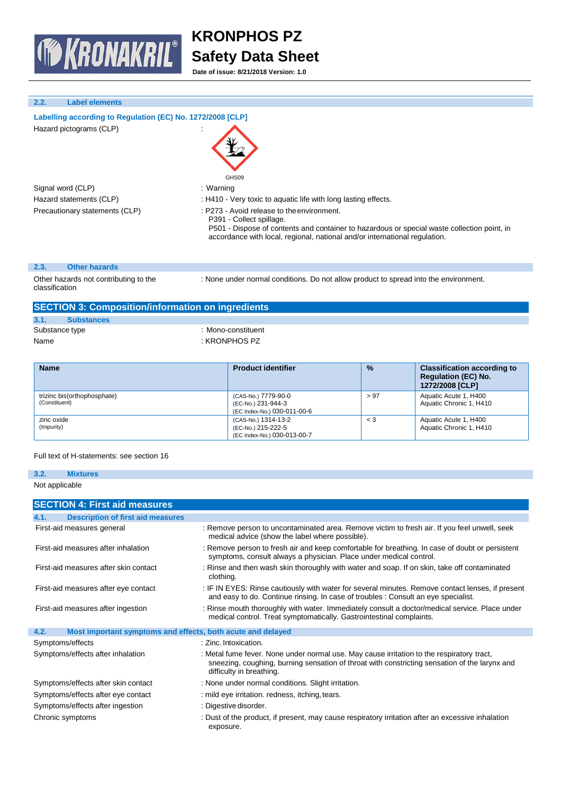

**Date of issue: 8/21/2018 Version: 1.0**

# **2.2. Label elements**

| Labelling according to Regulation (EC) No. 1272/2008 [CLP] |  |
|------------------------------------------------------------|--|
| Hazard pictograms (CLP)                                    |  |

Signal word (CLP) **in the set of the Signal word (CLP)** and the set of the set of the set of the set of the set o Precautionary statements (CLP) : P273 - Avoid release to the environment.

# GHS09

Hazard statements (CLP) : H410 - Very toxic to aquatic life with long lasting effects.

P391 - Collect spillage.

P501 - Dispose of contents and container to hazardous or special waste collection point, in accordance with local, regional, national and/or international regulation.

## **2.3. Other hazards**

Other hazards not contributing to the classification

: None under normal conditions. Do not allow product to spread into the environment.

| <b>SECTION 3: Composition/information on ingredients</b> |                    |  |  |
|----------------------------------------------------------|--------------------|--|--|
| 3.1.<br><b>Substances</b>                                |                    |  |  |
| Substance type                                           | : Mono-constituent |  |  |
| Name                                                     | : KRONPHOS PZ      |  |  |
|                                                          |                    |  |  |

| <b>Name</b>                                  | <b>Product identifier</b>                                                | $\frac{9}{6}$ | <b>Classification according to</b><br><b>Regulation (EC) No.</b><br>1272/2008 [CLP] |
|----------------------------------------------|--------------------------------------------------------------------------|---------------|-------------------------------------------------------------------------------------|
| trizinc bis(orthophosphate)<br>(Constituent) | (CAS-No.) 7779-90-0<br>(EC-No.) 231-944-3<br>(EC Index-No.) 030-011-00-6 | > 97          | Aquatic Acute 1, H400<br>Aquatic Chronic 1, H410                                    |
| zinc oxide<br>(Impurity)                     | (CAS-No.) 1314-13-2<br>(EC-No.) 215-222-5<br>(EC Index-No.) 030-013-00-7 | $\leq 3$      | Aquatic Acute 1, H400<br>Aquatic Chronic 1, H410                                    |

## Full text of H-statements: see section 16

# **3.2. Mixtures**

Not applicable

| <b>SECTION 4: First aid measures</b>                                |                                                                                                                                                                                                                        |
|---------------------------------------------------------------------|------------------------------------------------------------------------------------------------------------------------------------------------------------------------------------------------------------------------|
| <b>Description of first aid measures</b><br>4.1.                    |                                                                                                                                                                                                                        |
| First-aid measures general                                          | : Remove person to uncontaminated area. Remove victim to fresh air. If you feel unwell, seek<br>medical advice (show the label where possible).                                                                        |
| First-aid measures after inhalation                                 | : Remove person to fresh air and keep comfortable for breathing. In case of doubt or persistent<br>symptoms, consult always a physician. Place under medical control.                                                  |
| First-aid measures after skin contact                               | : Rinse and then wash skin thoroughly with water and soap. If on skin, take off contaminated<br>clothing.                                                                                                              |
| First-aid measures after eye contact                                | : IF IN EYES: Rinse cautiously with water for several minutes. Remove contact lenses, if present<br>and easy to do. Continue rinsing. In case of troubles : Consult an eye specialist.                                 |
| First-aid measures after ingestion                                  | : Rinse mouth thoroughly with water. Immediately consult a doctor/medical service. Place under<br>medical control. Treat symptomatically. Gastrointestinal complaints.                                                 |
| 4.2.<br>Most important symptoms and effects, both acute and delayed |                                                                                                                                                                                                                        |
| Symptoms/effects                                                    | : Zinc. Intoxication.                                                                                                                                                                                                  |
| Symptoms/effects after inhalation                                   | : Metal fume fever. None under normal use. May cause irritation to the respiratory tract,<br>sneezing, coughing, burning sensation of throat with constricting sensation of the larynx and<br>difficulty in breathing. |
| Symptoms/effects after skin contact                                 | : None under normal conditions. Slight irritation.                                                                                                                                                                     |
| Symptoms/effects after eye contact                                  | : mild eye irritation. redness, itching, tears.                                                                                                                                                                        |
| Symptoms/effects after ingestion                                    | : Digestive disorder.                                                                                                                                                                                                  |
| Chronic symptoms                                                    | : Dust of the product, if present, may cause respiratory irritation after an excessive inhalation<br>exposure.                                                                                                         |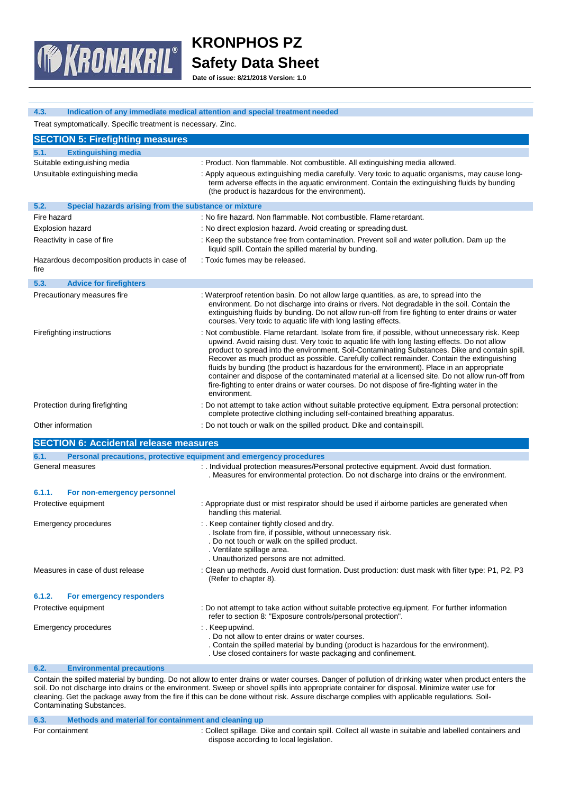

**Date of issue: 8/21/2018 Version: 1.0**

| Indication of any immediate medical attention and special treatment needed<br>4.3. |                                                                                                                                                                                                                                                                                                                                                                                                                                                                                                                                                                                                                                                                                                                        |  |  |
|------------------------------------------------------------------------------------|------------------------------------------------------------------------------------------------------------------------------------------------------------------------------------------------------------------------------------------------------------------------------------------------------------------------------------------------------------------------------------------------------------------------------------------------------------------------------------------------------------------------------------------------------------------------------------------------------------------------------------------------------------------------------------------------------------------------|--|--|
| Treat symptomatically. Specific treatment is necessary. Zinc.                      |                                                                                                                                                                                                                                                                                                                                                                                                                                                                                                                                                                                                                                                                                                                        |  |  |
| <b>SECTION 5: Firefighting measures</b>                                            |                                                                                                                                                                                                                                                                                                                                                                                                                                                                                                                                                                                                                                                                                                                        |  |  |
| <b>Extinguishing media</b><br>5.1.                                                 |                                                                                                                                                                                                                                                                                                                                                                                                                                                                                                                                                                                                                                                                                                                        |  |  |
| Suitable extinguishing media                                                       | : Product. Non flammable. Not combustible. All extinguishing media allowed.                                                                                                                                                                                                                                                                                                                                                                                                                                                                                                                                                                                                                                            |  |  |
| Unsuitable extinguishing media                                                     | : Apply aqueous extinguishing media carefully. Very toxic to aquatic organisms, may cause long-<br>term adverse effects in the aquatic environment. Contain the extinguishing fluids by bunding<br>(the product is hazardous for the environment).                                                                                                                                                                                                                                                                                                                                                                                                                                                                     |  |  |
| Special hazards arising from the substance or mixture<br>5.2.                      |                                                                                                                                                                                                                                                                                                                                                                                                                                                                                                                                                                                                                                                                                                                        |  |  |
| Fire hazard                                                                        | : No fire hazard. Non flammable. Not combustible. Flame retardant.                                                                                                                                                                                                                                                                                                                                                                                                                                                                                                                                                                                                                                                     |  |  |
| <b>Explosion hazard</b>                                                            | : No direct explosion hazard. Avoid creating or spreading dust.                                                                                                                                                                                                                                                                                                                                                                                                                                                                                                                                                                                                                                                        |  |  |
| Reactivity in case of fire                                                         | : Keep the substance free from contamination. Prevent soil and water pollution. Dam up the<br>liquid spill. Contain the spilled material by bunding.                                                                                                                                                                                                                                                                                                                                                                                                                                                                                                                                                                   |  |  |
| Hazardous decomposition products in case of<br>fire                                | : Toxic fumes may be released.                                                                                                                                                                                                                                                                                                                                                                                                                                                                                                                                                                                                                                                                                         |  |  |
| 5.3.<br><b>Advice for firefighters</b>                                             |                                                                                                                                                                                                                                                                                                                                                                                                                                                                                                                                                                                                                                                                                                                        |  |  |
| Precautionary measures fire                                                        | : Waterproof retention basin. Do not allow large quantities, as are, to spread into the<br>environment. Do not discharge into drains or rivers. Not degradable in the soil. Contain the<br>extinguishing fluids by bunding. Do not allow run-off from fire fighting to enter drains or water<br>courses. Very toxic to aquatic life with long lasting effects.                                                                                                                                                                                                                                                                                                                                                         |  |  |
| Firefighting instructions                                                          | : Not combustible. Flame retardant. Isolate from fire, if possible, without unnecessary risk. Keep<br>upwind. Avoid raising dust. Very toxic to aquatic life with long lasting effects. Do not allow<br>product to spread into the environment. Soil-Contaminating Substances. Dike and contain spill.<br>Recover as much product as possible. Carefully collect remainder. Contain the extinguishing<br>fluids by bunding (the product is hazardous for the environment). Place in an appropriate<br>container and dispose of the contaminated material at a licensed site. Do not allow run-off from<br>fire-fighting to enter drains or water courses. Do not dispose of fire-fighting water in the<br>environment. |  |  |
| Protection during firefighting                                                     | : Do not attempt to take action without suitable protective equipment. Extra personal protection:<br>complete protective clothing including self-contained breathing apparatus.                                                                                                                                                                                                                                                                                                                                                                                                                                                                                                                                        |  |  |
| Other information                                                                  | : Do not touch or walk on the spilled product. Dike and contain spill.                                                                                                                                                                                                                                                                                                                                                                                                                                                                                                                                                                                                                                                 |  |  |
| <b>SECTION 6: Accidental release measures</b>                                      |                                                                                                                                                                                                                                                                                                                                                                                                                                                                                                                                                                                                                                                                                                                        |  |  |
| 6.1.<br>Personal precautions, protective equipment and emergency procedures        |                                                                                                                                                                                                                                                                                                                                                                                                                                                                                                                                                                                                                                                                                                                        |  |  |
| General measures                                                                   | : . Individual protection measures/Personal protective equipment. Avoid dust formation.<br>. Measures for environmental protection. Do not discharge into drains or the environment.                                                                                                                                                                                                                                                                                                                                                                                                                                                                                                                                   |  |  |
| 6.1.1.<br>For non-emergency personnel                                              |                                                                                                                                                                                                                                                                                                                                                                                                                                                                                                                                                                                                                                                                                                                        |  |  |
| Protective equipment                                                               | : Appropriate dust or mist respirator should be used if airborne particles are generated when<br>handling this material.                                                                                                                                                                                                                                                                                                                                                                                                                                                                                                                                                                                               |  |  |
| Emergency procedures                                                               | : . Keep container tightly closed and dry.<br>. Isolate from fire, if possible, without unnecessary risk.<br>. Do not touch or walk on the spilled product.<br>. Ventilate spillage area.<br>. Unauthorized persons are not admitted.                                                                                                                                                                                                                                                                                                                                                                                                                                                                                  |  |  |
| Measures in case of dust release                                                   | : Clean up methods. Avoid dust formation. Dust production: dust mask with filter type: P1, P2, P3<br>(Refer to chapter 8).                                                                                                                                                                                                                                                                                                                                                                                                                                                                                                                                                                                             |  |  |
| 6.1.2.<br>For emergency responders                                                 |                                                                                                                                                                                                                                                                                                                                                                                                                                                                                                                                                                                                                                                                                                                        |  |  |
| Protective equipment                                                               | : Do not attempt to take action without suitable protective equipment. For further information<br>refer to section 8: "Exposure controls/personal protection".                                                                                                                                                                                                                                                                                                                                                                                                                                                                                                                                                         |  |  |
| <b>Emergency procedures</b>                                                        | : . Keep upwind.<br>. Do not allow to enter drains or water courses.<br>. Contain the spilled material by bunding (product is hazardous for the environment).<br>. Use closed containers for waste packaging and confinement.                                                                                                                                                                                                                                                                                                                                                                                                                                                                                          |  |  |
| 6.2.<br><b>Environmental precautions</b>                                           |                                                                                                                                                                                                                                                                                                                                                                                                                                                                                                                                                                                                                                                                                                                        |  |  |

Contain the spilled material by bunding. Do not allow to enter drains or water courses. Danger of pollution of drinking water when product enters the soil. Do not discharge into drains or the environment. Sweep or shovel spills into appropriate container for disposal. Minimize water use for cleaning. Get the package away from the fire if this can be done without risk. Assure discharge complies with applicable regulations. Soil-Contaminating Substances.

|                 | Methods and material for containment and cleaning up |                                                                                                       |
|-----------------|------------------------------------------------------|-------------------------------------------------------------------------------------------------------|
| For containment |                                                      | : Collect spillage. Dike and contain spill. Collect all waste in suitable and labelled containers and |
|                 |                                                      | dispose according to local legislation.                                                               |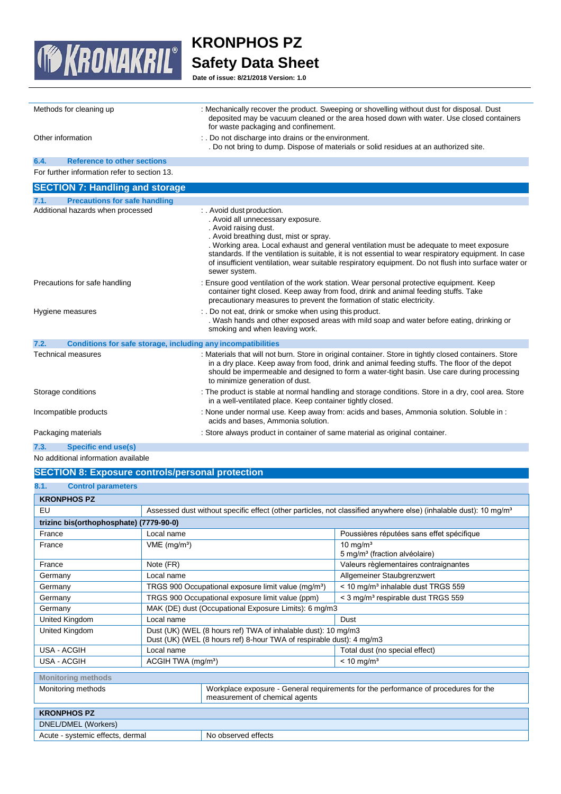

**Date of issue: 8/21/2018 Version: 1.0**

| Methods for cleaning up                                              | : Mechanically recover the product. Sweeping or shovelling without dust for disposal. Dust<br>deposited may be vacuum cleaned or the area hosed down with water. Use closed containers<br>for waste packaging and confinement.                                                                                                                                                                                                                                  |
|----------------------------------------------------------------------|-----------------------------------------------------------------------------------------------------------------------------------------------------------------------------------------------------------------------------------------------------------------------------------------------------------------------------------------------------------------------------------------------------------------------------------------------------------------|
| Other information                                                    | : . Do not discharge into drains or the environment.<br>. Do not bring to dump. Dispose of materials or solid residues at an authorized site.                                                                                                                                                                                                                                                                                                                   |
| <b>Reference to other sections</b><br>6.4.                           |                                                                                                                                                                                                                                                                                                                                                                                                                                                                 |
| For further information refer to section 13.                         |                                                                                                                                                                                                                                                                                                                                                                                                                                                                 |
| <b>SECTION 7: Handling and storage</b>                               |                                                                                                                                                                                                                                                                                                                                                                                                                                                                 |
| <b>Precautions for safe handling</b><br>7.1.                         |                                                                                                                                                                                                                                                                                                                                                                                                                                                                 |
| Additional hazards when processed                                    | : . Avoid dust production.<br>. Avoid all unnecessary exposure.<br>. Avoid raising dust.<br>. Avoid breathing dust, mist or spray.<br>. Working area. Local exhaust and general ventilation must be adequate to meet exposure<br>standards. If the ventilation is suitable, it is not essential to wear respiratory equipment. In case<br>of insufficient ventilation, wear suitable respiratory equipment. Do not flush into surface water or<br>sewer system. |
| Precautions for safe handling                                        | : Ensure good ventilation of the work station. Wear personal protective equipment. Keep<br>container tight closed. Keep away from food, drink and animal feeding stuffs. Take<br>precautionary measures to prevent the formation of static electricity.                                                                                                                                                                                                         |
| Hygiene measures                                                     | : . Do not eat, drink or smoke when using this product.<br>. Wash hands and other exposed areas with mild soap and water before eating, drinking or<br>smoking and when leaving work.                                                                                                                                                                                                                                                                           |
| 7.2.<br>Conditions for safe storage, including any incompatibilities |                                                                                                                                                                                                                                                                                                                                                                                                                                                                 |
| Technical measures                                                   | : Materials that will not burn. Store in original container. Store in tightly closed containers. Store<br>in a dry place. Keep away from food, drink and animal feeding stuffs. The floor of the depot<br>should be impermeable and designed to form a water-tight basin. Use care during processing<br>to minimize generation of dust.                                                                                                                         |
| Storage conditions                                                   | : The product is stable at normal handling and storage conditions. Store in a dry, cool area. Store<br>in a well-ventilated place. Keep container tightly closed.                                                                                                                                                                                                                                                                                               |
| Incompatible products                                                | : None under normal use. Keep away from: acids and bases, Ammonia solution. Soluble in :<br>acids and bases, Ammonia solution.                                                                                                                                                                                                                                                                                                                                  |
| Packaging materials                                                  | : Store always product in container of same material as original container.                                                                                                                                                                                                                                                                                                                                                                                     |
| <b>Specific end use(s)</b><br>7.3.                                   |                                                                                                                                                                                                                                                                                                                                                                                                                                                                 |
| No additional information available                                  |                                                                                                                                                                                                                                                                                                                                                                                                                                                                 |

# **SECTION 8: Exposure controls/personal protection**

| 8.1.<br><b>Control parameters</b>       |                                                                                                                                       |                                                                                                                       |                                                                                                                              |  |
|-----------------------------------------|---------------------------------------------------------------------------------------------------------------------------------------|-----------------------------------------------------------------------------------------------------------------------|------------------------------------------------------------------------------------------------------------------------------|--|
| <b>KRONPHOS PZ</b>                      |                                                                                                                                       |                                                                                                                       |                                                                                                                              |  |
| EU                                      |                                                                                                                                       |                                                                                                                       | Assessed dust without specific effect (other particles, not classified anywhere else) (inhalable dust): 10 mg/m <sup>3</sup> |  |
| trizinc bis(orthophosphate) (7779-90-0) |                                                                                                                                       |                                                                                                                       |                                                                                                                              |  |
| France                                  | Local name                                                                                                                            |                                                                                                                       | Poussières réputées sans effet spécifique                                                                                    |  |
| France                                  | $VME$ (mg/m <sup>3</sup> )                                                                                                            |                                                                                                                       | $10 \text{ ma/m}^3$<br>5 mg/m <sup>3</sup> (fraction alvéolaire)                                                             |  |
| France                                  | Note (FR)                                                                                                                             |                                                                                                                       | Valeurs règlementaires contraignantes                                                                                        |  |
| Germany                                 | Local name                                                                                                                            |                                                                                                                       | Allgemeiner Staubgrenzwert                                                                                                   |  |
| Germany                                 |                                                                                                                                       | TRGS 900 Occupational exposure limit value (mg/m <sup>3</sup> )                                                       | < 10 mg/m <sup>3</sup> inhalable dust TRGS 559                                                                               |  |
| Germany                                 | TRGS 900 Occupational exposure limit value (ppm)<br>< 3 mg/m <sup>3</sup> respirable dust TRGS 559                                    |                                                                                                                       |                                                                                                                              |  |
| Germany                                 | MAK (DE) dust (Occupational Exposure Limits): 6 mg/m3                                                                                 |                                                                                                                       |                                                                                                                              |  |
| United Kingdom                          | Local name<br>Dust                                                                                                                    |                                                                                                                       |                                                                                                                              |  |
| United Kingdom                          | Dust (UK) (WEL (8 hours ref) TWA of inhalable dust): 10 mg/m3<br>Dust (UK) (WEL (8 hours ref) 8-hour TWA of respirable dust): 4 mg/m3 |                                                                                                                       |                                                                                                                              |  |
| <b>USA - ACGIH</b>                      | Local name                                                                                                                            |                                                                                                                       | Total dust (no special effect)                                                                                               |  |
| USA - ACGIH                             | ACGIH TWA (mg/m <sup>3</sup> )                                                                                                        |                                                                                                                       | $< 10$ mg/m <sup>3</sup>                                                                                                     |  |
| <b>Monitoring methods</b>               |                                                                                                                                       |                                                                                                                       |                                                                                                                              |  |
| Monitoring methods                      |                                                                                                                                       | Workplace exposure - General requirements for the performance of procedures for the<br>measurement of chemical agents |                                                                                                                              |  |
| <b>KRONPHOS PZ</b>                      |                                                                                                                                       |                                                                                                                       |                                                                                                                              |  |
| DNEL/DMEL (Workers)                     |                                                                                                                                       |                                                                                                                       |                                                                                                                              |  |
| Acute - systemic effects, dermal        | No observed effects                                                                                                                   |                                                                                                                       |                                                                                                                              |  |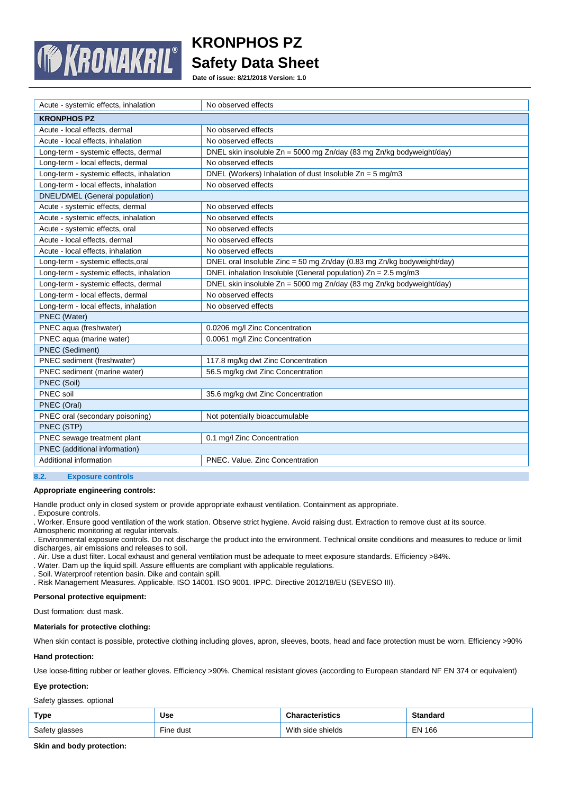

**Date of issue: 8/21/2018 Version: 1.0**

| Acute - systemic effects, inhalation     | No observed effects                                                    |
|------------------------------------------|------------------------------------------------------------------------|
| <b>KRONPHOS PZ</b>                       |                                                                        |
| Acute - local effects, dermal            | No observed effects                                                    |
| Acute - local effects, inhalation        | No observed effects                                                    |
| Long-term - systemic effects, dermal     | DNEL skin insoluble Zn = 5000 mg Zn/day (83 mg Zn/kg bodyweight/day)   |
| Long-term - local effects, dermal        | No observed effects                                                    |
| Long-term - systemic effects, inhalation | DNEL (Workers) Inhalation of dust Insoluble $Zn = 5$ mg/m3             |
| Long-term - local effects, inhalation    | No observed effects                                                    |
| DNEL/DMEL (General population)           |                                                                        |
| Acute - systemic effects, dermal         | No observed effects                                                    |
| Acute - systemic effects, inhalation     | No observed effects                                                    |
| Acute - systemic effects, oral           | No observed effects                                                    |
| Acute - local effects, dermal            | No observed effects                                                    |
| Acute - local effects, inhalation        | No observed effects                                                    |
| Long-term - systemic effects, oral       | DNEL oral Insoluble Zinc = 50 mg Zn/day (0.83 mg Zn/kg bodyweight/day) |
| Long-term - systemic effects, inhalation | DNEL inhalation Insoluble (General population) $Zn = 2.5$ mg/m3        |
| Long-term - systemic effects, dermal     | DNEL skin insoluble Zn = 5000 mg Zn/day (83 mg Zn/kg bodyweight/day)   |
| Long-term - local effects, dermal        | No observed effects                                                    |
| Long-term - local effects, inhalation    | No observed effects                                                    |
| PNEC (Water)                             |                                                                        |
| PNEC aqua (freshwater)                   | 0.0206 mg/l Zinc Concentration                                         |
| PNEC aqua (marine water)                 | 0.0061 mg/l Zinc Concentration                                         |
| PNEC (Sediment)                          |                                                                        |
| PNEC sediment (freshwater)               | 117.8 mg/kg dwt Zinc Concentration                                     |
| PNEC sediment (marine water)             | 56.5 mg/kg dwt Zinc Concentration                                      |
| PNEC (Soil)                              |                                                                        |
| PNEC soil                                | 35.6 mg/kg dwt Zinc Concentration                                      |
| PNEC (Oral)                              |                                                                        |
| PNEC oral (secondary poisoning)          | Not potentially bioaccumulable                                         |
| PNEC (STP)                               |                                                                        |
| PNEC sewage treatment plant              | 0.1 mg/l Zinc Concentration                                            |
| PNEC (additional information)            |                                                                        |
| Additional information                   | PNEC. Value. Zinc Concentration                                        |

## **8.2. Exposure controls**

#### **Appropriate engineering controls:**

Handle product only in closed system or provide appropriate exhaust ventilation. Containment as appropriate.

. Exposure controls.

. Worker. Ensure good ventilation of the work station. Observe strict hygiene. Avoid raising dust. Extraction to remove dust at its source.

Atmospheric monitoring at regular intervals.

. Environmental exposure controls. Do not discharge the product into the environment. Technical onsite conditions and measures to reduce or limit discharges, air emissions and releases to soil.

. Air. Use a dust filter. Local exhaust and general ventilation must be adequate to meet exposure standards. Efficiency >84%.

. Water. Dam up the liquid spill. Assure effluents are compliant with applicable regulations.

. Soil. Waterproof retention basin. Dike and contain spill.

. Risk Management Measures. Applicable. ISO 14001. ISO 9001. IPPC. Directive 2012/18/EU (SEVESO III).

**Personal protective equipment:**

Dust formation: dust mask.

#### **Materials for protective clothing:**

When skin contact is possible, protective clothing including gloves, apron, sleeves, boots, head and face protection must be worn. Efficiency >90%

# **Hand protection:**

Use loose-fitting rubber or leather gloves. Efficiency >90%. Chemical resistant gloves (according to European standard NF EN 374 or equivalent)

# **Eye protection:**

Safety glasses. optional

| Type           | Use       | <b>Characteristics</b> | Standard  |
|----------------|-----------|------------------------|-----------|
| Safety glasses | Fine dust | With side shields      | EN<br>166 |

**Skin and body protection:**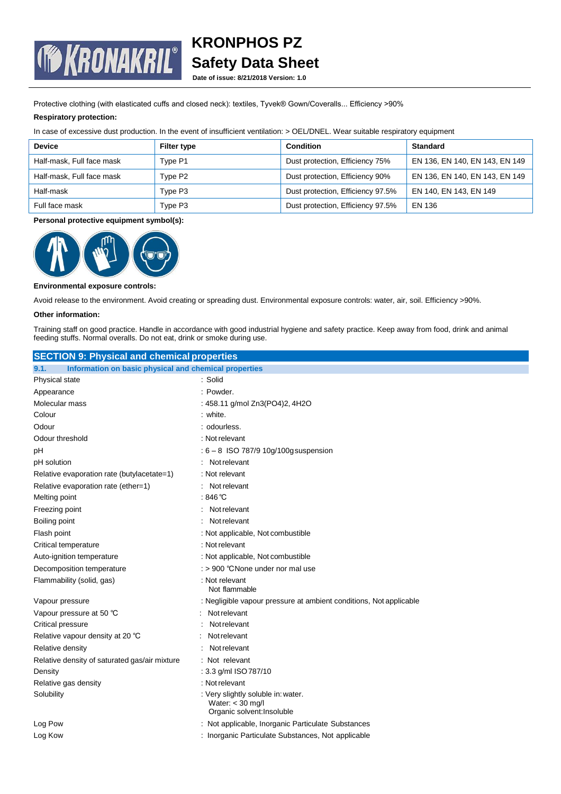

**Date of issue: 8/21/2018 Version: 1.0**

Protective clothing (with elasticated cuffs and closed neck): textiles, Tyvek® Gown/Coveralls... Efficiency >90%

# **Respiratory protection:**

In case of excessive dust production. In the event of insufficient ventilation: > OEL/DNEL. Wear suitable respiratory equipment

| <b>Device</b>             | <b>Filter type</b> | Condition                         | <b>Standard</b>                |
|---------------------------|--------------------|-----------------------------------|--------------------------------|
| Half-mask, Full face mask | Type P1            | Dust protection, Efficiency 75%   | EN 136, EN 140, EN 143, EN 149 |
| Half-mask, Full face mask | Type P2            | Dust protection, Efficiency 90%   | EN 136, EN 140, EN 143, EN 149 |
| Half-mask                 | Type P3            | Dust protection, Efficiency 97.5% | EN 140, EN 143, EN 149         |
| Full face mask            | Type P3            | Dust protection, Efficiency 97.5% | EN 136                         |

# **Personal protective equipment symbol(s):**



## **Environmental exposure controls:**

Avoid release to the environment. Avoid creating or spreading dust. Environmental exposure controls: water, air, soil. Efficiency >90%.

## **Other information:**

Training staff on good practice. Handle in accordance with good industrial hygiene and safety practice. Keep away from food, drink and animal feeding stuffs. Normal overalls. Do not eat, drink or smoke during use.

| <b>SECTION 9: Physical and chemical properties</b>            |                                                                                        |  |
|---------------------------------------------------------------|----------------------------------------------------------------------------------------|--|
| Information on basic physical and chemical properties<br>9.1. |                                                                                        |  |
| Physical state                                                | : Solid                                                                                |  |
| Appearance                                                    | : Powder.                                                                              |  |
| Molecular mass                                                | : 458.11 g/mol Zn3(PO4)2, 4H2O                                                         |  |
| Colour                                                        | : white.                                                                               |  |
| Odour                                                         | : odourless.                                                                           |  |
| Odour threshold                                               | : Not relevant                                                                         |  |
| рH                                                            | : 6 - 8 ISO 787/9 10g/100g suspension                                                  |  |
| pH solution                                                   | Not relevant                                                                           |  |
| Relative evaporation rate (butylacetate=1)                    | : Not relevant                                                                         |  |
| Relative evaporation rate (ether=1)                           | : Not relevant                                                                         |  |
| Melting point                                                 | : $846^{\circ}$ C                                                                      |  |
| Freezing point                                                | Not relevant                                                                           |  |
| Boiling point                                                 | Not relevant                                                                           |  |
| Flash point                                                   | : Not applicable, Not combustible                                                      |  |
| Critical temperature                                          | : Not relevant                                                                         |  |
| Auto-ignition temperature                                     | : Not applicable, Not combustible                                                      |  |
| Decomposition temperature                                     | $:$ > 900 °CNone under nor mal use                                                     |  |
| Flammability (solid, gas)                                     | : Not relevant<br>Not flammable                                                        |  |
| Vapour pressure                                               | : Negligible vapour pressure at ambient conditions, Not applicable                     |  |
| Vapour pressure at 50 °C                                      | Not relevant                                                                           |  |
| Critical pressure                                             | <b>Not relevant</b>                                                                    |  |
| Relative vapour density at 20 °C                              | Not relevant                                                                           |  |
| Relative density                                              | Not relevant                                                                           |  |
| Relative density of saturated gas/air mixture                 | : Not relevant                                                                         |  |
| Density                                                       | : 3.3 g/ml ISO 787/10                                                                  |  |
| Relative gas density                                          | : Not relevant                                                                         |  |
| Solubility                                                    | : Very slightly soluble in: water.<br>Water: $<$ 30 mg/l<br>Organic solvent: Insoluble |  |
| Log Pow                                                       | : Not applicable, Inorganic Particulate Substances                                     |  |
| Log Kow                                                       | : Inorganic Particulate Substances, Not applicable                                     |  |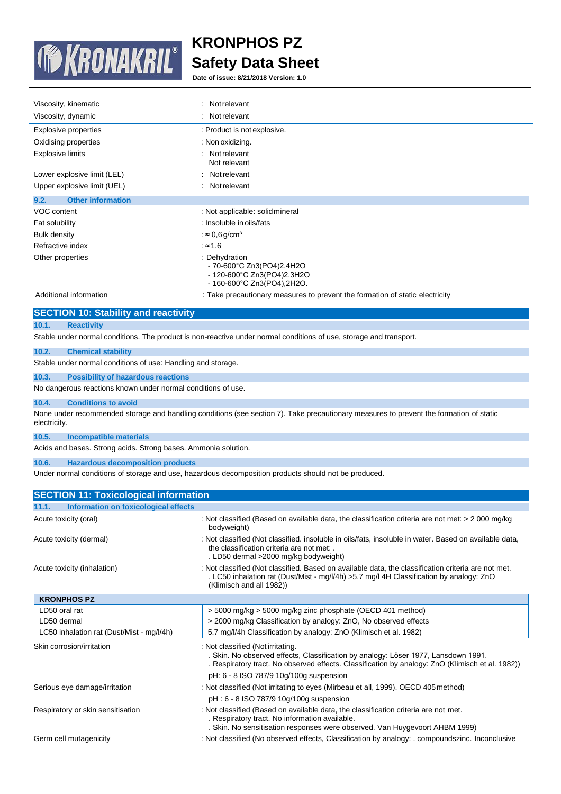

**Date of issue: 8/21/2018 Version: 1.0**

| Viscosity, kinematic             | Not relevant<br>÷                                                                                               |
|----------------------------------|-----------------------------------------------------------------------------------------------------------------|
| Viscosity, dynamic               | Not relevant<br>÷                                                                                               |
| Explosive properties             | : Product is not explosive.                                                                                     |
| Oxidising properties             | : Non oxidizing.                                                                                                |
| <b>Explosive limits</b>          | Not relevant<br>٠<br>Not relevant                                                                               |
| Lower explosive limit (LEL)      | Not relevant                                                                                                    |
| Upper explosive limit (UEL)      | Not relevant<br>÷                                                                                               |
| <b>Other information</b><br>9.2. |                                                                                                                 |
| VOC content                      | : Not applicable: solid mineral                                                                                 |
| Fat solubility                   | : Insoluble in oils/fats                                                                                        |
| <b>Bulk density</b>              | : $\approx 0.6$ g/cm <sup>3</sup>                                                                               |
| Refractive index                 | : $\approx$ 1.6                                                                                                 |
| Other properties                 | : Dehydration<br>$-70-600^{\circ}$ C Zn3(PO4)2,4H2O<br>- 120-600°C Zn3(PO4)2,3H2O<br>- 160-600°C Zn3(PO4),2H2O. |

**10.1. Reactivity**

Additional information : Take precautionary measures to prevent the formation of static electricity

# **SECTION 10: Stability and reactivity**

Stable under normal conditions. The product is non-reactive under normal conditions of use, storage and transport.

#### **10.2. Chemical stability**

Stable under normal conditions of use: Handling and storage.

#### **10.3. Possibility of hazardous reactions**

No dangerous reactions known under normal conditions of use.

#### **10.4. Conditions to avoid**

None under recommended storage and handling conditions (see section 7). Take precautionary measures to prevent the formation of static electricity.

#### **10.5. Incompatible materials**

Acids and bases. Strong acids. Strong bases. Ammonia solution.

## **10.6. Hazardous decomposition products**

Under normal conditions of storage and use, hazardous decomposition products should not be produced.

| <b>SECTION 11: Toxicological information</b>  |                                                                                                                                                                                                                                                                        |
|-----------------------------------------------|------------------------------------------------------------------------------------------------------------------------------------------------------------------------------------------------------------------------------------------------------------------------|
| Information on toxicological effects<br>11.1. |                                                                                                                                                                                                                                                                        |
| Acute toxicity (oral)                         | : Not classified (Based on available data, the classification criteria are not met: > 2 000 mg/kg<br>bodyweight)                                                                                                                                                       |
| Acute toxicity (dermal)                       | : Not classified (Not classified. insoluble in oils/fats, insoluble in water. Based on available data,<br>the classification criteria are not met:<br>. LD50 dermal >2000 mg/kg bodyweight)                                                                            |
| Acute toxicity (inhalation)                   | : Not classified (Not classified. Based on available data, the classification criteria are not met.<br>LC50 inhalation rat (Dust/Mist - mg/l/4h) > 5.7 mg/l 4H Classification by analogy: ZnO<br>(Klimisch and all 1982))                                              |
| <b>KRONPHOS PZ</b>                            |                                                                                                                                                                                                                                                                        |
| LD50 oral rat                                 | > 5000 mg/kg > 5000 mg/kg zinc phosphate (OECD 401 method)                                                                                                                                                                                                             |
| LD50 dermal                                   | > 2000 mg/kg Classification by analogy: ZnO, No observed effects                                                                                                                                                                                                       |
| LC50 inhalation rat (Dust/Mist - mg/l/4h)     | 5.7 mg/l/4h Classification by analogy: ZnO (Klimisch et al. 1982)                                                                                                                                                                                                      |
| Skin corrosion/irritation                     | : Not classified (Not irritating.<br>. Skin. No observed effects, Classification by analogy: Löser 1977, Lansdown 1991.<br>. Respiratory tract. No observed effects. Classification by analogy: ZnO (Klimisch et al. 1982))<br>pH: 6 - 8 ISO 787/9 10g/100g suspension |
| Serious eye damage/irritation                 | : Not classified (Not irritating to eyes (Mirbeau et all, 1999). OECD 405 method)<br>pH: 6 - 8 ISO 787/9 10g/100g suspension                                                                                                                                           |
| Respiratory or skin sensitisation             | : Not classified (Based on available data, the classification criteria are not met.<br>. Respiratory tract. No information available.<br>. Skin. No sensitisation responses were observed. Van Huygevoort AHBM 1999)                                                   |
| Germ cell mutagenicity                        | : Not classified (No observed effects, Classification by analogy: . compoundszinc. Inconclusive                                                                                                                                                                        |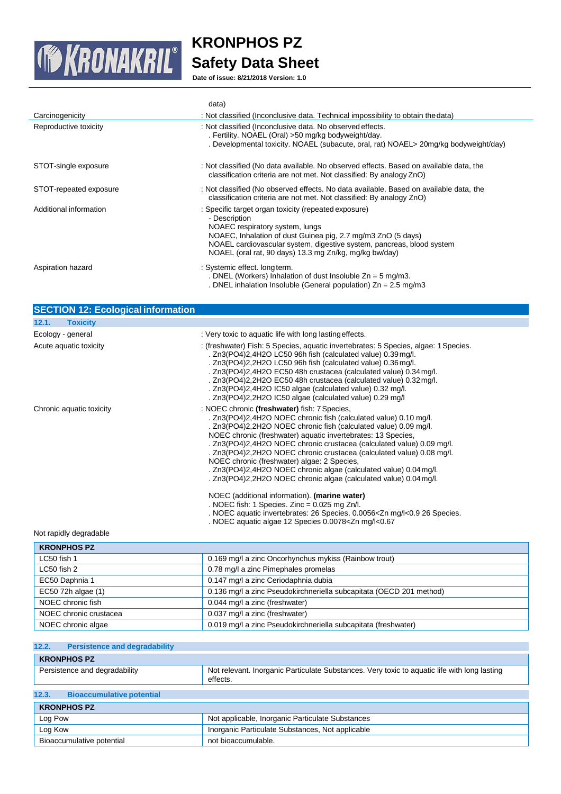

**Date of issue: 8/21/2018 Version: 1.0**

|                        | data)                                                                                                                                                                                                                                                                                                       |
|------------------------|-------------------------------------------------------------------------------------------------------------------------------------------------------------------------------------------------------------------------------------------------------------------------------------------------------------|
| Carcinogenicity        | : Not classified (Inconclusive data. Technical impossibility to obtain the data)                                                                                                                                                                                                                            |
| Reproductive toxicity  | : Not classified (Inconclusive data. No observed effects.<br>. Fertility. NOAEL (Oral) > 50 mg/kg bodyweight/day.<br>. Developmental toxicity. NOAEL (subacute, oral, rat) NOAEL> 20mg/kg bodyweight/day)                                                                                                   |
| STOT-single exposure   | : Not classified (No data available. No observed effects. Based on available data, the<br>classification criteria are not met. Not classified: By analogy ZnO)                                                                                                                                              |
| STOT-repeated exposure | : Not classified (No observed effects. No data available. Based on available data, the<br>classification criteria are not met. Not classified: By analogy ZnO)                                                                                                                                              |
| Additional information | : Specific target organ toxicity (repeated exposure)<br>- Description<br>NOAEC respiratory system, lungs<br>NOAEC, Inhalation of dust Guinea pig, 2.7 mg/m3 ZnO (5 days)<br>NOAEL cardiovascular system, digestive system, pancreas, blood system<br>NOAEL (oral rat, 90 days) 13.3 mg Zn/kg, mg/kg bw/day) |
| Aspiration hazard      | : Systemic effect. long term.<br>. DNEL (Workers) Inhalation of dust Insoluble $Zn = 5$ mg/m3.<br>. DNEL inhalation Insoluble (General population) $Zn = 2.5$ mg/m3                                                                                                                                         |

| <b>SECTION 12: Ecological information</b> |                                                                                                                                                                                                                                                                                                                                                                                                                                                                                                                                                                                                 |
|-------------------------------------------|-------------------------------------------------------------------------------------------------------------------------------------------------------------------------------------------------------------------------------------------------------------------------------------------------------------------------------------------------------------------------------------------------------------------------------------------------------------------------------------------------------------------------------------------------------------------------------------------------|
| 12.1.<br><b>Toxicity</b>                  |                                                                                                                                                                                                                                                                                                                                                                                                                                                                                                                                                                                                 |
| Ecology - general                         | : Very toxic to aquatic life with long lasting effects.                                                                                                                                                                                                                                                                                                                                                                                                                                                                                                                                         |
| Acute aquatic toxicity                    | : (freshwater) Fish: 5 Species, aquatic invertebrates: 5 Species, algae: 1 Species.<br>. Zn3(PO4)2,4H2O LC50 96h fish (calculated value) 0.39 mg/l.<br>. Zn3(PO4)2,2H2O LC50 96h fish (calculated value) 0.36 mg/l.<br>. Zn3(PO4)2,4H2O EC50 48h crustacea (calculated value) 0.34 mg/l.<br>. Zn3(PO4)2,2H2O EC50 48h crustacea (calculated value) 0.32 mg/l.<br>. Zn3(PO4)2,4H2O IC50 algae (calculated value) 0.32 mg/l.<br>. Zn3(PO4)2,2H2O IC50 algae (calculated value) 0.29 mg/l                                                                                                          |
| Chronic aquatic toxicity                  | : NOEC chronic (freshwater) fish: 7 Species,<br>. Zn3(PO4)2,4H2O NOEC chronic fish (calculated value) 0.10 mg/l.<br>. Zn3(PO4)2,2H2O NOEC chronic fish (calculated value) 0.09 mg/l.<br>NOEC chronic (freshwater) aquatic invertebrates: 13 Species,<br>. Zn3(PO4)2,4H2O NOEC chronic crustacea (calculated value) 0.09 mg/l.<br>. Zn3(PO4)2,2H2O NOEC chronic crustacea (calculated value) 0.08 mg/l.<br>NOEC chronic (freshwater) algae: 2 Species,<br>. Zn3(PO4)2,4H2O NOEC chronic algae (calculated value) 0.04 mg/l.<br>. Zn3(PO4)2,2H2O NOEC chronic algae (calculated value) 0.04 mg/l. |
|                                           | NOEC (additional information). (marine water)<br>. NOEC fish: 1 Species. Zinc = $0.025$ mg Zn/l.<br>. NOEC aquatic invertebrates: 26 Species, 0.0056 <zn 26="" l<0.9="" mg="" species.<br="">NOEC aquatic algae 12 Species 0.0078<zn l<0.67<="" mg="" td=""></zn></zn>                                                                                                                                                                                                                                                                                                                          |

# Not rapidly degradable

| <b>KRONPHOS PZ</b>     |                                                                     |
|------------------------|---------------------------------------------------------------------|
| LC50 fish 1            | 0.169 mg/l a zinc Oncorhynchus mykiss (Rainbow trout)               |
| LC50 fish 2            | 0.78 mg/l a zinc Pimephales promelas                                |
| EC50 Daphnia 1         | 0.147 mg/l a zinc Ceriodaphnia dubia                                |
| EC50 72h algae (1)     | 0.136 mg/l a zinc Pseudokirchneriella subcapitata (OECD 201 method) |
| NOEC chronic fish      | 0.044 mg/l a zinc (freshwater)                                      |
| NOEC chronic crustacea | 0.037 mg/l a zinc (freshwater)                                      |
| NOEC chronic algae     | 0.019 mg/l a zinc Pseudokirchneriella subcapitata (freshwater)      |

# **12.2. Persistence and degradability**

| <b>KRONPHOS PZ</b>            |                                  |                                                                                                          |
|-------------------------------|----------------------------------|----------------------------------------------------------------------------------------------------------|
| Persistence and degradability |                                  | Not relevant. Inorganic Particulate Substances. Very toxic to aquatic life with long lasting<br>effects. |
|                               |                                  |                                                                                                          |
| 12.3.                         | <b>Bioaccumulative potential</b> |                                                                                                          |

| <b>KRONPHOS PZ</b>        |                                                  |
|---------------------------|--------------------------------------------------|
| Log Pow                   | Not applicable, Inorganic Particulate Substances |
| Log Kow                   | Inorganic Particulate Substances, Not applicable |
| Bioaccumulative potential | not bioaccumulable.                              |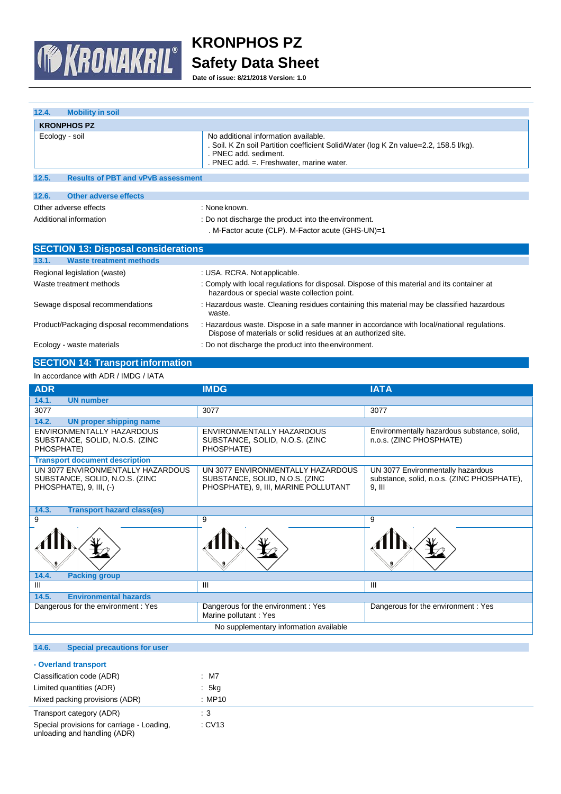

**Date of issue: 8/21/2018 Version: 1.0**

| 12.4.<br><b>Mobility in soil</b>                   |                                                                                                                                                                                                   |  |
|----------------------------------------------------|---------------------------------------------------------------------------------------------------------------------------------------------------------------------------------------------------|--|
| <b>KRONPHOS PZ</b>                                 |                                                                                                                                                                                                   |  |
| Ecology - soil                                     | No additional information available.<br>. Soil. K Zn soil Partition coefficient Solid/Water (log K Zn value=2.2, 158.5 l/kg).<br>. PNEC add. sediment.<br>. PNEC add. = Freshwater, marine water. |  |
| 12.5.<br><b>Results of PBT and vPvB assessment</b> |                                                                                                                                                                                                   |  |
| 12.6.<br>Other adverse effects                     |                                                                                                                                                                                                   |  |
| Other adverse effects                              | : None known.                                                                                                                                                                                     |  |
| Additional information                             | : Do not discharge the product into the environment.<br>. M-Factor acute (CLP). M-Factor acute (GHS-UN)=1                                                                                         |  |
| <b>SECTION 13: Disposal considerations</b>         |                                                                                                                                                                                                   |  |
| <b>Waste treatment methods</b><br>13.1.            |                                                                                                                                                                                                   |  |
| Regional legislation (waste)                       | : USA. RCRA. Not applicable.                                                                                                                                                                      |  |
| Waste treatment methods                            | : Comply with local regulations for disposal. Dispose of this material and its container at<br>hazardous or special waste collection point.                                                       |  |
| Sewage disposal recommendations                    | : Hazardous waste. Cleaning residues containing this material may be classified hazardous<br>waste.                                                                                               |  |
| Product/Packaging disposal recommendations         | : Hazardous waste. Dispose in a safe manner in accordance with local/national regulations.<br>Dispose of materials or solid residues at an authorized site.                                       |  |
| Ecology - waste materials                          | : Do not discharge the product into the environment.                                                                                                                                              |  |

# **SECTION 14: Transport information**

| In accordance with ADR / IMDG / IATA                                                           |                                                                                                             |                                                                                             |  |
|------------------------------------------------------------------------------------------------|-------------------------------------------------------------------------------------------------------------|---------------------------------------------------------------------------------------------|--|
| <b>ADR</b>                                                                                     | <b>IMDG</b>                                                                                                 | <b>IATA</b>                                                                                 |  |
| 14.1.<br><b>UN number</b>                                                                      |                                                                                                             |                                                                                             |  |
| 3077                                                                                           | 3077                                                                                                        | 3077                                                                                        |  |
| 14.2.<br><b>UN proper shipping name</b>                                                        |                                                                                                             |                                                                                             |  |
| ENVIRONMENTALLY HAZARDOUS<br>SUBSTANCE, SOLID, N.O.S. (ZINC<br>PHOSPHATE)                      | ENVIRONMENTALLY HAZARDOUS<br>SUBSTANCE, SOLID, N.O.S. (ZINC<br>PHOSPHATE)                                   | Environmentally hazardous substance, solid,<br>n.o.s. (ZINC PHOSPHATE)                      |  |
| <b>Transport document description</b>                                                          |                                                                                                             |                                                                                             |  |
| UN 3077 ENVIRONMENTALLY HAZARDOUS<br>SUBSTANCE, SOLID, N.O.S. (ZINC<br>PHOSPHATE), 9, III, (-) | UN 3077 ENVIRONMENTALLY HAZARDOUS<br>SUBSTANCE, SOLID, N.O.S. (ZINC<br>PHOSPHATE), 9, III, MARINE POLLUTANT | UN 3077 Environmentally hazardous<br>substance, solid, n.o.s. (ZINC PHOSPHATE),<br>$9.$ III |  |
| 14.3.<br><b>Transport hazard class(es)</b>                                                     |                                                                                                             |                                                                                             |  |
| 9                                                                                              | 9                                                                                                           | 9                                                                                           |  |
|                                                                                                |                                                                                                             |                                                                                             |  |
| 14.4.<br><b>Packing group</b>                                                                  |                                                                                                             |                                                                                             |  |
| III                                                                                            | Ш                                                                                                           | Ш                                                                                           |  |
| <b>Environmental hazards</b><br>14.5.                                                          |                                                                                                             |                                                                                             |  |
| Dangerous for the environment: Yes                                                             | Dangerous for the environment: Yes<br>Marine pollutant: Yes                                                 | Dangerous for the environment: Yes                                                          |  |
| No supplementary information available                                                         |                                                                                                             |                                                                                             |  |
|                                                                                                |                                                                                                             |                                                                                             |  |

# **14.6. Special precautions for user**

| - Overland transport                                                       |        |
|----------------------------------------------------------------------------|--------|
| Classification code (ADR)                                                  | $:$ M7 |
| Limited quantities (ADR)                                                   | : 5kg  |
| Mixed packing provisions (ADR)                                             | : MP10 |
| Transport category (ADR)                                                   | : 3    |
| Special provisions for carriage - Loading,<br>unloading and handling (ADR) | : CV13 |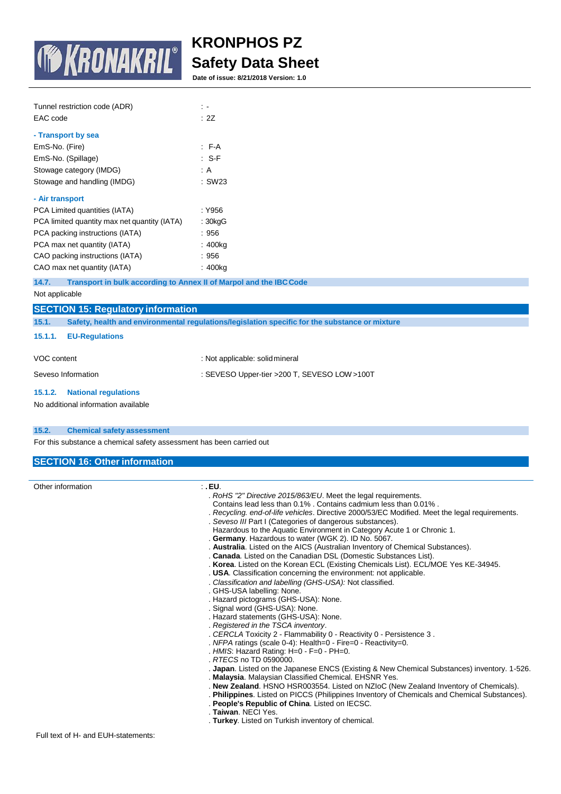

**Date of issue: 8/21/2018 Version: 1.0**

| Tunnel restriction code (ADR)                |             |
|----------------------------------------------|-------------|
| EAC code                                     | : 2Z        |
|                                              |             |
| - Transport by sea                           |             |
| EmS-No. (Fire)                               | $F-A$       |
| EmS-No. (Spillage)                           | $\cdot$ S-F |
| Stowage category (IMDG)                      | : A         |
| Stowage and handling (IMDG)                  | : SW23      |
| - Air transport                              |             |
| PCA Limited quantities (IATA)                | : Y956      |
| PCA limited quantity max net quantity (IATA) | : 30kqG     |
| PCA packing instructions (IATA)              | : 956       |
| PCA max net quantity (IATA)                  | : 400kg     |
| CAO packing instructions (IATA)              | : 956       |
| CAO max net quantity (IATA)                  | : 400kg     |

**14.7. Transport in bulk according to Annex II of Marpol and the IBCCode**

# Not applicable

|                    | <b>SECTION 15: Regulatory information</b>                                                      |                                              |  |
|--------------------|------------------------------------------------------------------------------------------------|----------------------------------------------|--|
| 15.1.              | Safety, health and environmental regulations/legislation specific for the substance or mixture |                                              |  |
| 15.1.1.            | <b>EU-Regulations</b>                                                                          |                                              |  |
| VOC content        |                                                                                                | : Not applicable: solid mineral              |  |
| Seveso Information |                                                                                                | : SEVESO Upper-tier >200 T, SEVESO LOW >100T |  |
| 15.1.2.            | <b>National regulations</b>                                                                    |                                              |  |
|                    | No additional information available                                                            |                                              |  |

## **15.2. Chemical safety assessment**

For this substance a chemical safety assessment has been carried out

# **SECTION 16: Other information**

| Other information | ∴ EU.                                                                                          |
|-------------------|------------------------------------------------------------------------------------------------|
|                   | . RoHS "2" Directive 2015/863/EU. Meet the legal requirements.                                 |
|                   | Contains lead less than 0.1%, Contains cadmium less than 0.01%.                                |
|                   | . Recycling. end-of-life vehicles. Directive 2000/53/EC Modified. Meet the legal requirements. |
|                   | . Seveso III Part I (Categories of dangerous substances).                                      |
|                   | Hazardous to the Aquatic Environment in Category Acute 1 or Chronic 1.                         |
|                   | . Germany. Hazardous to water (WGK 2). ID No. 5067.                                            |
|                   | . Australia. Listed on the AICS (Australian Inventory of Chemical Substances).                 |
|                   | . Canada. Listed on the Canadian DSL (Domestic Substances List).                               |
|                   | . Korea. Listed on the Korean ECL (Existing Chemicals List). ECL/MOE Yes KE-34945.             |
|                   | . USA. Classification concerning the environment: not applicable.                              |
|                   | . Classification and labelling (GHS-USA): Not classified.                                      |
|                   | . GHS-USA labelling: None.                                                                     |
|                   | . Hazard pictograms (GHS-USA): None.                                                           |
|                   | . Signal word (GHS-USA): None.                                                                 |
|                   | . Hazard statements (GHS-USA): None.                                                           |
|                   | . Registered in the TSCA inventory.                                                            |
|                   | . CERCLA Toxicity 2 - Flammability 0 - Reactivity 0 - Persistence 3.                           |
|                   | . NFPA ratings (scale $0-4$ ): Health=0 - Fire=0 - Reactivity=0.                               |
|                   | . HMIS: Hazard Rating: $H=0$ - $F=0$ - $PH=0$ .                                                |
|                   | . RTECS no TD 0590000.                                                                         |
|                   | . Japan. Listed on the Japanese ENCS (Existing & New Chemical Substances) inventory. 1-526.    |
|                   | . Malaysia. Malaysian Classified Chemical. EHSNR Yes.                                          |
|                   | . New Zealand. HSNO HSR003554. Listed on NZIoC (New Zealand Inventory of Chemicals).           |
|                   | . Philippines. Listed on PICCS (Philippines Inventory of Chemicals and Chemical Substances).   |
|                   | . People's Republic of China. Listed on IECSC.                                                 |
|                   | . <b>Taiwan</b> . NECI Yes.                                                                    |
|                   | . Turkey. Listed on Turkish inventory of chemical.                                             |
|                   |                                                                                                |